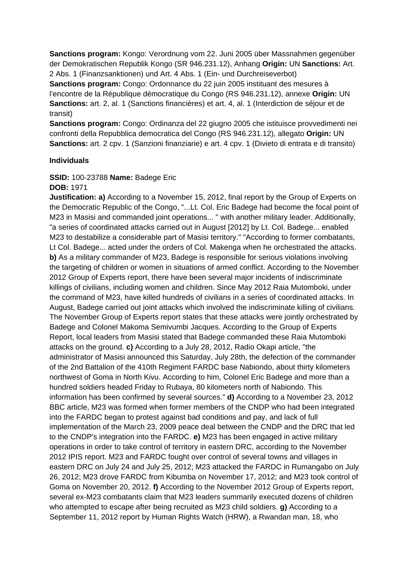**Sanctions program:** Kongo: Verordnung vom 22. Juni 2005 über Massnahmen gegenüber der Demokratischen Republik Kongo (SR 946.231.12), Anhang **Origin:** UN **Sanctions:** Art. 2 Abs. 1 (Finanzsanktionen) und Art. 4 Abs. 1 (Ein- und Durchreiseverbot)

**Sanctions program:** Congo: Ordonnance du 22 juin 2005 instituant des mesures à l'encontre de la République démocratique du Congo (RS 946.231.12), annexe **Origin:** UN **Sanctions:** art. 2, al. 1 (Sanctions financières) et art. 4, al. 1 (Interdiction de séjour et de transit)

**Sanctions program:** Congo: Ordinanza del 22 giugno 2005 che istituisce provvedimenti nei confronti della Repubblica democratica del Congo (RS 946.231.12), allegato **Origin:** UN **Sanctions:** art. 2 cpv. 1 (Sanzioni finanziarie) e art. 4 cpv. 1 (Divieto di entrata e di transito)

### **Individuals**

### **SSID:** 100-23788 **Name:** Badege Eric

### **DOB:** 1971

**Justification: a)** According to a November 15, 2012, final report by the Group of Experts on the Democratic Republic of the Congo, "...Lt. Col. Eric Badege had become the focal point of M23 in Masisi and commanded joint operations... " with another military leader. Additionally, "a series of coordinated attacks carried out in August [2012] by Lt. Col. Badege... enabled M23 to destabilize a considerable part of Masisi territory." "According to former combatants, Lt Col. Badege... acted under the orders of Col. Makenga when he orchestrated the attacks. **b)** As a military commander of M23, Badege is responsible for serious violations involving the targeting of children or women in situations of armed conflict. According to the November 2012 Group of Experts report, there have been several major incidents of indiscriminate killings of civilians, including women and children. Since May 2012 Raia Mutomboki, under the command of M23, have killed hundreds of civilians in a series of coordinated attacks. In August, Badege carried out joint attacks which involved the indiscriminate killing of civilians. The November Group of Experts report states that these attacks were jointly orchestrated by Badege and Colonel Makoma Semivumbi Jacques. According to the Group of Experts Report, local leaders from Masisi stated that Badege commanded these Raia Mutomboki attacks on the ground. **c)** According to a July 28, 2012, Radio Okapi article, "the administrator of Masisi announced this Saturday, July 28th, the defection of the commander of the 2nd Battalion of the 410th Regiment FARDC base Nabiondo, about thirty kilometers northwest of Goma in North Kivu. According to him, Colonel Eric Badege and more than a hundred soldiers headed Friday to Rubaya, 80 kilometers north of Nabiondo. This information has been confirmed by several sources." **d)** According to a November 23, 2012 BBC article, M23 was formed when former members of the CNDP who had been integrated into the FARDC began to protest against bad conditions and pay, and lack of full implementation of the March 23, 2009 peace deal between the CNDP and the DRC that led to the CNDP's integration into the FARDC. **e)** M23 has been engaged in active military operations in order to take control of territory in eastern DRC, according to the November 2012 IPIS report. M23 and FARDC fought over control of several towns and villages in eastern DRC on July 24 and July 25, 2012; M23 attacked the FARDC in Rumangabo on July 26, 2012; M23 drove FARDC from Kibumba on November 17, 2012; and M23 took control of Goma on November 20, 2012. **f)** According to the November 2012 Group of Experts report, several ex-M23 combatants claim that M23 leaders summarily executed dozens of children who attempted to escape after being recruited as M23 child soldiers. **g)** According to a September 11, 2012 report by Human Rights Watch (HRW), a Rwandan man, 18, who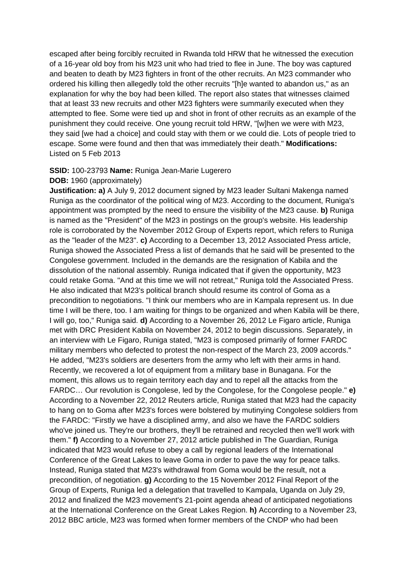escaped after being forcibly recruited in Rwanda told HRW that he witnessed the execution of a 16-year old boy from his M23 unit who had tried to flee in June. The boy was captured and beaten to death by M23 fighters in front of the other recruits. An M23 commander who ordered his killing then allegedly told the other recruits "[h]e wanted to abandon us," as an explanation for why the boy had been killed. The report also states that witnesses claimed that at least 33 new recruits and other M23 fighters were summarily executed when they attempted to flee. Some were tied up and shot in front of other recruits as an example of the punishment they could receive. One young recruit told HRW, "[w]hen we were with M23, they said [we had a choice] and could stay with them or we could die. Lots of people tried to escape. Some were found and then that was immediately their death." **Modifications:**  Listed on 5 Feb 2013

### **SSID:** 100-23793 **Name:** Runiga Jean-Marie Lugerero

### **DOB:** 1960 (approximately)

**Justification: a)** A July 9, 2012 document signed by M23 leader Sultani Makenga named Runiga as the coordinator of the political wing of M23. According to the document, Runiga's appointment was prompted by the need to ensure the visibility of the M23 cause. **b)** Runiga is named as the "President" of the M23 in postings on the group's website. His leadership role is corroborated by the November 2012 Group of Experts report, which refers to Runiga as the "leader of the M23". **c)** According to a December 13, 2012 Associated Press article, Runiga showed the Associated Press a list of demands that he said will be presented to the Congolese government. Included in the demands are the resignation of Kabila and the dissolution of the national assembly. Runiga indicated that if given the opportunity, M23 could retake Goma. "And at this time we will not retreat," Runiga told the Associated Press. He also indicated that M23's political branch should resume its control of Goma as a precondition to negotiations. "I think our members who are in Kampala represent us. In due time I will be there, too. I am waiting for things to be organized and when Kabila will be there, I will go, too," Runiga said. **d)** According to a November 26, 2012 Le Figaro article, Runiga met with DRC President Kabila on November 24, 2012 to begin discussions. Separately, in an interview with Le Figaro, Runiga stated, "M23 is composed primarily of former FARDC military members who defected to protest the non-respect of the March 23, 2009 accords." He added, "M23's soldiers are deserters from the army who left with their arms in hand. Recently, we recovered a lot of equipment from a military base in Bunagana. For the moment, this allows us to regain territory each day and to repel all the attacks from the FARDC… Our revolution is Congolese, led by the Congolese, for the Congolese people." **e)**  According to a November 22, 2012 Reuters article, Runiga stated that M23 had the capacity to hang on to Goma after M23's forces were bolstered by mutinying Congolese soldiers from the FARDC: "Firstly we have a disciplined army, and also we have the FARDC soldiers who've joined us. They're our brothers, they'll be retrained and recycled then we'll work with them." **f)** According to a November 27, 2012 article published in The Guardian, Runiga indicated that M23 would refuse to obey a call by regional leaders of the International Conference of the Great Lakes to leave Goma in order to pave the way for peace talks. Instead, Runiga stated that M23's withdrawal from Goma would be the result, not a precondition, of negotiation. **g)** According to the 15 November 2012 Final Report of the Group of Experts, Runiga led a delegation that travelled to Kampala, Uganda on July 29, 2012 and finalized the M23 movement's 21-point agenda ahead of anticipated negotiations at the International Conference on the Great Lakes Region. **h)** According to a November 23, 2012 BBC article, M23 was formed when former members of the CNDP who had been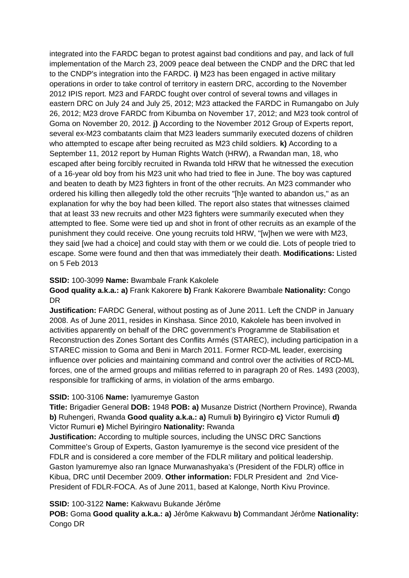integrated into the FARDC began to protest against bad conditions and pay, and lack of full implementation of the March 23, 2009 peace deal between the CNDP and the DRC that led to the CNDP's integration into the FARDC. **i)** M23 has been engaged in active military operations in order to take control of territory in eastern DRC, according to the November 2012 IPIS report. M23 and FARDC fought over control of several towns and villages in eastern DRC on July 24 and July 25, 2012; M23 attacked the FARDC in Rumangabo on July 26, 2012; M23 drove FARDC from Kibumba on November 17, 2012; and M23 took control of Goma on November 20, 2012. **j)** According to the November 2012 Group of Experts report, several ex-M23 combatants claim that M23 leaders summarily executed dozens of children who attempted to escape after being recruited as M23 child soldiers. **k)** According to a September 11, 2012 report by Human Rights Watch (HRW), a Rwandan man, 18, who escaped after being forcibly recruited in Rwanda told HRW that he witnessed the execution of a 16-year old boy from his M23 unit who had tried to flee in June. The boy was captured and beaten to death by M23 fighters in front of the other recruits. An M23 commander who ordered his killing then allegedly told the other recruits "[h]e wanted to abandon us," as an explanation for why the boy had been killed. The report also states that witnesses claimed that at least 33 new recruits and other M23 fighters were summarily executed when they attempted to flee. Some were tied up and shot in front of other recruits as an example of the punishment they could receive. One young recruits told HRW, "[w]hen we were with M23, they said [we had a choice] and could stay with them or we could die. Lots of people tried to escape. Some were found and then that was immediately their death. **Modifications:** Listed on 5 Feb 2013

# **SSID:** 100-3099 **Name:** Bwambale Frank Kakolele

**Good quality a.k.a.: a)** Frank Kakorere **b)** Frank Kakorere Bwambale **Nationality:** Congo DR

**Justification:** FARDC General, without posting as of June 2011. Left the CNDP in January 2008. As of June 2011, resides in Kinshasa. Since 2010, Kakolele has been involved in activities apparently on behalf of the DRC government's Programme de Stabilisation et Reconstruction des Zones Sortant des Conflits Armés (STAREC), including participation in a STAREC mission to Goma and Beni in March 2011. Former RCD-ML leader, exercising influence over policies and maintaining command and control over the activities of RCD-ML forces, one of the armed groups and militias referred to in paragraph 20 of Res. 1493 (2003), responsible for trafficking of arms, in violation of the arms embargo.

# **SSID:** 100-3106 **Name:** Iyamuremye Gaston

**Title:** Brigadier General **DOB:** 1948 **POB: a)** Musanze District (Northern Province), Rwanda **b)** Ruhengeri, Rwanda **Good quality a.k.a.: a)** Rumuli **b)** Byiringiro **c)** Victor Rumuli **d)**  Victor Rumuri **e)** Michel Byiringiro **Nationality:** Rwanda

**Justification:** According to multiple sources, including the UNSC DRC Sanctions Committee's Group of Experts, Gaston Iyamuremye is the second vice president of the FDLR and is considered a core member of the FDLR military and political leadership. Gaston Iyamuremye also ran Ignace Murwanashyaka's (President of the FDLR) office in Kibua, DRC until December 2009. **Other information:** FDLR President and 2nd Vice-President of FDLR-FOCA. As of June 2011, based at Kalonge, North Kivu Province.

## **SSID:** 100-3122 **Name:** Kakwavu Bukande Jérôme

**POB:** Goma **Good quality a.k.a.: a)** Jérôme Kakwavu **b)** Commandant Jérôme **Nationality:** Congo DR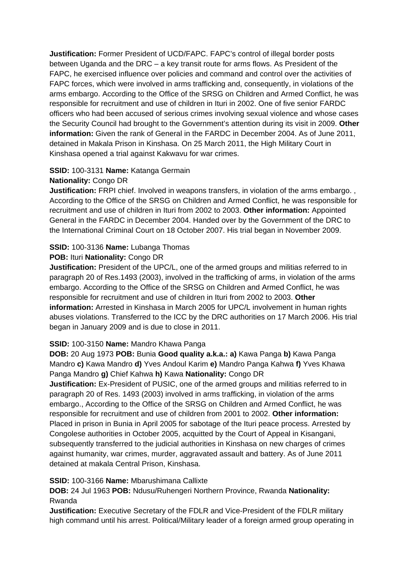**Justification:** Former President of UCD/FAPC. FAPC's control of illegal border posts between Uganda and the DRC – a key transit route for arms flows. As President of the FAPC, he exercised influence over policies and command and control over the activities of FAPC forces, which were involved in arms trafficking and, consequently, in violations of the arms embargo. According to the Office of the SRSG on Children and Armed Conflict, he was responsible for recruitment and use of children in Ituri in 2002. One of five senior FARDC officers who had been accused of serious crimes involving sexual violence and whose cases the Security Council had brought to the Government's attention during its visit in 2009. **Other information:** Given the rank of General in the FARDC in December 2004. As of June 2011, detained in Makala Prison in Kinshasa. On 25 March 2011, the High Military Court in Kinshasa opened a trial against Kakwavu for war crimes.

# **SSID:** 100-3131 **Name:** Katanga Germain

# **Nationality:** Congo DR

**Justification:** FRPI chief. Involved in weapons transfers, in violation of the arms embargo., According to the Office of the SRSG on Children and Armed Conflict, he was responsible for recruitment and use of children in Ituri from 2002 to 2003. **Other information:** Appointed General in the FARDC in December 2004. Handed over by the Government of the DRC to the International Criminal Court on 18 October 2007. His trial began in November 2009.

# **SSID:** 100-3136 **Name:** Lubanga Thomas

# **POB:** Ituri **Nationality:** Congo DR

**Justification:** President of the UPC/L, one of the armed groups and militias referred to in paragraph 20 of Res.1493 (2003), involved in the trafficking of arms, in violation of the arms embargo. According to the Office of the SRSG on Children and Armed Conflict, he was responsible for recruitment and use of children in Ituri from 2002 to 2003. **Other information:** Arrested in Kinshasa in March 2005 for UPC/L involvement in human rights abuses violations. Transferred to the ICC by the DRC authorities on 17 March 2006. His trial began in January 2009 and is due to close in 2011.

# **SSID:** 100-3150 **Name:** Mandro Khawa Panga

**DOB:** 20 Aug 1973 **POB:** Bunia **Good quality a.k.a.: a)** Kawa Panga **b)** Kawa Panga Mandro **c)** Kawa Mandro **d)** Yves Andoul Karim **e)** Mandro Panga Kahwa **f)** Yves Khawa Panga Mandro **g)** Chief Kahwa **h)** Kawa **Nationality:** Congo DR

**Justification:** Ex-President of PUSIC, one of the armed groups and militias referred to in paragraph 20 of Res. 1493 (2003) involved in arms trafficking, in violation of the arms embargo., According to the Office of the SRSG on Children and Armed Conflict, he was responsible for recruitment and use of children from 2001 to 2002. **Other information:** Placed in prison in Bunia in April 2005 for sabotage of the Ituri peace process. Arrested by Congolese authorities in October 2005, acquitted by the Court of Appeal in Kisangani, subsequently transferred to the judicial authorities in Kinshasa on new charges of crimes against humanity, war crimes, murder, aggravated assault and battery. As of June 2011 detained at makala Central Prison, Kinshasa.

## **SSID:** 100-3166 **Name:** Mbarushimana Callixte

**DOB:** 24 Jul 1963 **POB:** Ndusu/Ruhengeri Northern Province, Rwanda **Nationality:** Rwanda

**Justification:** Executive Secretary of the FDLR and Vice-President of the FDLR military high command until his arrest. Political/Military leader of a foreign armed group operating in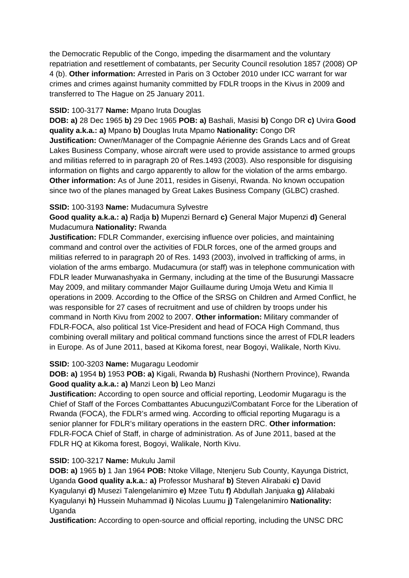the Democratic Republic of the Congo, impeding the disarmament and the voluntary repatriation and resettlement of combatants, per Security Council resolution 1857 (2008) OP 4 (b). **Other information:** Arrested in Paris on 3 October 2010 under ICC warrant for war crimes and crimes against humanity committed by FDLR troops in the Kivus in 2009 and transferred to The Hague on 25 January 2011.

# **SSID:** 100-3177 **Name:** Mpano Iruta Douglas

**DOB: a)** 28 Dec 1965 **b)** 29 Dec 1965 **POB: a)** Bashali, Masisi **b)** Congo DR **c)** Uvira **Good quality a.k.a.: a)** Mpano **b)** Douglas Iruta Mpamo **Nationality:** Congo DR **Justification:** Owner/Manager of the Compagnie Aérienne des Grands Lacs and of Great Lakes Business Company, whose aircraft were used to provide assistance to armed groups and militias referred to in paragraph 20 of Res.1493 (2003). Also responsible for disguising information on flights and cargo apparently to allow for the violation of the arms embargo. **Other information:** As of June 2011, resides in Gisenyi, Rwanda. No known occupation since two of the planes managed by Great Lakes Business Company (GLBC) crashed.

# **SSID:** 100-3193 **Name:** Mudacumura Sylvestre

**Good quality a.k.a.: a)** Radja **b)** Mupenzi Bernard **c)** General Major Mupenzi **d)** General Mudacumura **Nationality:** Rwanda

**Justification:** FDLR Commander, exercising influence over policies, and maintaining command and control over the activities of FDLR forces, one of the armed groups and militias referred to in paragraph 20 of Res. 1493 (2003), involved in trafficking of arms, in violation of the arms embargo. Mudacumura (or staff) was in telephone communication with FDLR leader Murwanashyaka in Germany, including at the time of the Busurungi Massacre May 2009, and military commander Major Guillaume during Umoja Wetu and Kimia II operations in 2009. According to the Office of the SRSG on Children and Armed Conflict, he was responsible for 27 cases of recruitment and use of children by troops under his command in North Kivu from 2002 to 2007. **Other information:** Military commander of FDLR-FOCA, also political 1st Vice-President and head of FOCA High Command, thus combining overall military and political command functions since the arrest of FDLR leaders in Europe. As of June 2011, based at Kikoma forest, near Bogoyi, Walikale, North Kivu.

# **SSID:** 100-3203 **Name:** Mugaragu Leodomir

**DOB: a)** 1954 **b)** 1953 **POB: a)** Kigali, Rwanda **b)** Rushashi (Northern Province), Rwanda **Good quality a.k.a.: a)** Manzi Leon **b)** Leo Manzi

**Justification:** According to open source and official reporting, Leodomir Mugaragu is the Chief of Staff of the Forces Combattantes Abucunguzi/Combatant Force for the Liberation of Rwanda (FOCA), the FDLR's armed wing. According to official reporting Mugaragu is a senior planner for FDLR's military operations in the eastern DRC. **Other information:** FDLR-FOCA Chief of Staff, in charge of administration. As of June 2011, based at the FDLR HQ at Kikoma forest, Bogoyi, Walikale, North Kivu.

# **SSID:** 100-3217 **Name:** Mukulu Jamil

**DOB: a)** 1965 **b)** 1 Jan 1964 **POB:** Ntoke Village, Ntenjeru Sub County, Kayunga District, Uganda **Good quality a.k.a.: a)** Professor Musharaf **b)** Steven Alirabaki **c)** David Kyagulanyi **d)** Musezi Talengelanimiro **e)** Mzee Tutu **f)** Abdullah Janjuaka **g)** Alilabaki Kyagulanyi **h)** Hussein Muhammad **i)** Nicolas Luumu **j)** Talengelanimiro **Nationality: Uganda** 

**Justification:** According to open-source and official reporting, including the UNSC DRC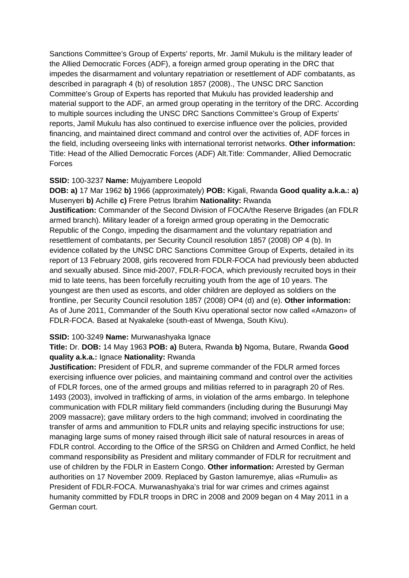Sanctions Committee's Group of Experts' reports, Mr. Jamil Mukulu is the military leader of the Allied Democratic Forces (ADF), a foreign armed group operating in the DRC that impedes the disarmament and voluntary repatriation or resettlement of ADF combatants, as described in paragraph 4 (b) of resolution 1857 (2008)., The UNSC DRC Sanction Committee's Group of Experts has reported that Mukulu has provided leadership and material support to the ADF, an armed group operating in the territory of the DRC. According to multiple sources including the UNSC DRC Sanctions Committee's Group of Experts' reports, Jamil Mukulu has also continued to exercise influence over the policies, provided financing, and maintained direct command and control over the activities of, ADF forces in the field, including overseeing links with international terrorist networks. **Other information:** Title: Head of the Allied Democratic Forces (ADF) Alt.Title: Commander, Allied Democratic Forces

## **SSID:** 100-3237 **Name:** Mujyambere Leopold

**DOB: a)** 17 Mar 1962 **b)** 1966 (approximately) **POB:** Kigali, Rwanda **Good quality a.k.a.: a)**  Musenyeri **b)** Achille **c)** Frere Petrus Ibrahim **Nationality:** Rwanda **Justification:** Commander of the Second Division of FOCA/the Reserve Brigades (an FDLR armed branch). Military leader of a foreign armed group operating in the Democratic Republic of the Congo, impeding the disarmament and the voluntary repatriation and resettlement of combatants, per Security Council resolution 1857 (2008) OP 4 (b). In evidence collated by the UNSC DRC Sanctions Committee Group of Experts, detailed in its report of 13 February 2008, girls recovered from FDLR-FOCA had previously been abducted and sexually abused. Since mid-2007, FDLR-FOCA, which previously recruited boys in their mid to late teens, has been forcefully recruiting youth from the age of 10 years. The youngest are then used as escorts, and older children are deployed as soldiers on the frontline, per Security Council resolution 1857 (2008) OP4 (d) and (e). **Other information:** As of June 2011, Commander of the South Kivu operational sector now called «Amazon» of FDLR-FOCA. Based at Nyakaleke (south-east of Mwenga, South Kivu).

## **SSID:** 100-3249 **Name:** Murwanashyaka Ignace

**Title:** Dr. **DOB:** 14 May 1963 **POB: a)** Butera, Rwanda **b)** Ngoma, Butare, Rwanda **Good quality a.k.a.:** Ignace **Nationality:** Rwanda

**Justification:** President of FDLR, and supreme commander of the FDLR armed forces exercising influence over policies, and maintaining command and control over the activities of FDLR forces, one of the armed groups and militias referred to in paragraph 20 of Res. 1493 (2003), involved in trafficking of arms, in violation of the arms embargo. In telephone communication with FDLR military field commanders (including during the Busurungi May 2009 massacre); gave military orders to the high command; involved in coordinating the transfer of arms and ammunition to FDLR units and relaying specific instructions for use; managing large sums of money raised through illicit sale of natural resources in areas of FDLR control. According to the Office of the SRSG on Children and Armed Conflict, he held command responsibility as President and military commander of FDLR for recruitment and use of children by the FDLR in Eastern Congo. **Other information:** Arrested by German authorities on 17 November 2009. Replaced by Gaston Iamuremye, alias «Rumuli» as President of FDLR-FOCA. Murwanashyaka's trial for war crimes and crimes against humanity committed by FDLR troops in DRC in 2008 and 2009 began on 4 May 2011 in a German court.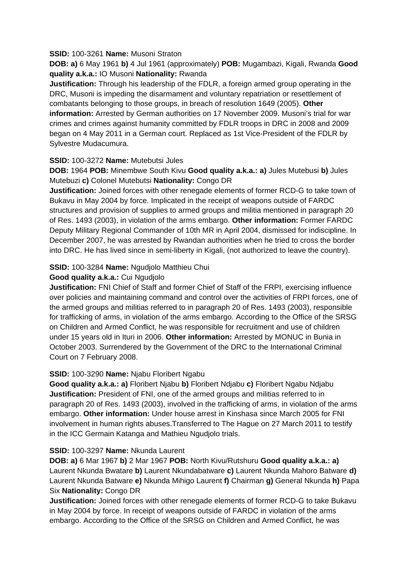## **SSID:** 100-3261 **Name:** Musoni Straton

**DOB: a)** 6 May 1961 **b)** 4 Jul 1961 (approximately) **POB:** Mugambazi, Kigali, Rwanda **Good quality a.k.a.:** IO Musoni **Nationality:** Rwanda

**Justification:** Through his leadership of the FDLR, a foreign armed group operating in the DRC, Musoni is impeding the disarmament and voluntary repatriation or resettlement of combatants belonging to those groups, in breach of resolution 1649 (2005). **Other information:** Arrested by German authorities on 17 November 2009. Musoni's trial for war crimes and crimes against humanity committed by FDLR troops in DRC in 2008 and 2009 began on 4 May 2011 in a German court. Replaced as 1st Vice-President of the FDLR by Sylvestre Mudacumura.

## **SSID:** 100-3272 **Name:** Mutebutsi Jules

**DOB:** 1964 **POB:** Minembwe South Kivu **Good quality a.k.a.: a)** Jules Mutebusi **b)** Jules Mutebuzi **c)** Colonel Mutebutsi **Nationality:** Congo DR

**Justification:** Joined forces with other renegade elements of former RCD-G to take town of Bukavu in May 2004 by force. Implicated in the receipt of weapons outside of FARDC structures and provision of supplies to armed groups and militia mentioned in paragraph 20 of Res. 1493 (2003), in violation of the arms embargo. **Other information:** Former FARDC Deputy Military Regional Commander of 10th MR in April 2004, dismissed for indiscipline. In December 2007, he was arrested by Rwandan authorities when he tried to cross the border into DRC. He has lived since in semi-liberty in Kigali, (not authorized to leave the country).

# **SSID:** 100-3284 **Name:** Ngudjolo Matthieu Chui

## **Good quality a.k.a.:** Cui Ngudjolo

**Justification:** FNI Chief of Staff and former Chief of Staff of the FRPI, exercising influence over policies and maintaining command and control over the activities of FRPI forces, one of the armed groups and militias referred to in paragraph 20 of Res. 1493 (2003), responsible for trafficking of arms, in violation of the arms embargo. According to the Office of the SRSG on Children and Armed Conflict, he was responsible for recruitment and use of children under 15 years old in Ituri in 2006. **Other information:** Arrested by MONUC in Bunia in October 2003. Surrendered by the Government of the DRC to the International Criminal Court on 7 February 2008.

## **SSID:** 100-3290 **Name:** Njabu Floribert Ngabu

**Good quality a.k.a.: a)** Floribert Njabu **b)** Floribert Ndjabu **c)** Floribert Ngabu Ndjabu **Justification:** President of FNI, one of the armed groups and militias referred to in paragraph 20 of Res. 1493 (2003), involved in the trafficking of arms, in violation of the arms embargo. **Other information:** Under house arrest in Kinshasa since March 2005 for FNI involvement in human rights abuses.Transferred to The Hague on 27 March 2011 to testify in the ICC Germain Katanga and Mathieu Ngudjolo trials.

## **SSID:** 100-3297 **Name:** Nkunda Laurent

**DOB: a)** 6 Mar 1967 **b)** 2 Mar 1967 **POB:** North Kivu/Rutshuru **Good quality a.k.a.: a)**  Laurent Nkunda Bwatare **b)** Laurent Nkundabatware **c)** Laurent Nkunda Mahoro Batware **d)**  Laurent Nkunda Batware **e)** Nkunda Mihigo Laurent **f)** Chairman **g)** General Nkunda **h)** Papa Six **Nationality:** Congo DR

**Justification:** Joined forces with other renegade elements of former RCD-G to take Bukavu in May 2004 by force. In receipt of weapons outside of FARDC in violation of the arms embargo. According to the Office of the SRSG on Children and Armed Conflict, he was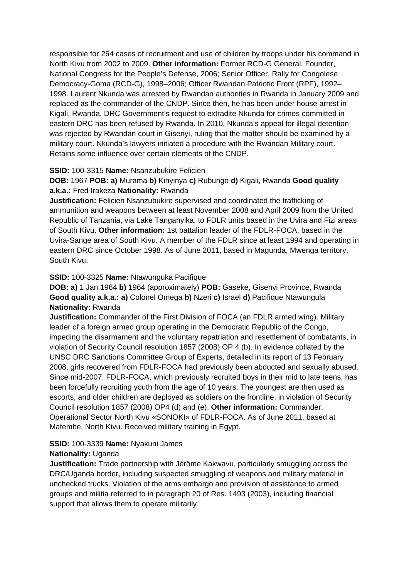responsible for 264 cases of recruitment and use of children by troops under his command in North Kivu from 2002 to 2009. **Other information:** Former RCD-G General. Founder, National Congress for the People's Defense, 2006; Senior Officer, Rally for Congolese Democracy-Goma (RCD-G), 1998–2006; Officer Rwandan Patriotic Front (RPF), 1992– 1998. Laurent Nkunda was arrested by Rwandan authorities in Rwanda in January 2009 and replaced as the commander of the CNDP. Since then, he has been under house arrest in Kigali, Rwanda. DRC Government's request to extradite Nkunda for crimes committed in eastern DRC has been refused by Rwanda. In 2010, Nkunda's appeal for illegal detention was rejected by Rwandan court in Gisenyi, ruling that the matter should be examined by a military court. Nkunda's lawyers initiated a procedure with the Rwandan Military court. Retains some influence over certain elements of the CNDP.

# **SSID:** 100-3315 **Name:** Nsanzubukire Felicien

# **DOB:** 1967 **POB: a)** Murama **b)** Kinyinya **c)** Rubungo **d)** Kigali, Rwanda **Good quality a.k.a.:** Fred Irakeza **Nationality:** Rwanda

**Justification:** Felicien Nsanzubukire supervised and coordinated the trafficking of ammunition and weapons between at least November 2008 and April 2009 from the United Republic of Tanzania, via Lake Tanganyika, to FDLR units based in the Uvira and Fizi areas of South Kivu. **Other information:** 1st battalion leader of the FDLR-FOCA, based in the Uvira-Sange area of South Kivu. A member of the FDLR since at least 1994 and operating in eastern DRC since October 1998. As of June 2011, based in Magunda, Mwenga territory, South Kivu.

# **SSID:** 100-3325 **Name:** Ntawunguka Pacifique

**DOB: a)** 1 Jan 1964 **b)** 1964 (approximately) **POB:** Gaseke, Gisenyi Province, Rwanda **Good quality a.k.a.: a)** Colonel Omega **b)** Nzeri **c)** Israel **d)** Pacifique Ntawungula **Nationality:** Rwanda

**Justification:** Commander of the First Division of FOCA (an FDLR armed wing). Military leader of a foreign armed group operating in the Democratic Republic of the Congo, impeding the disarmament and the voluntary repatriation and resettlement of combatants, in violation of Security Council resolution 1857 (2008) OP 4 (b). In evidence collated by the UNSC DRC Sanctions Committee Group of Experts, detailed in its report of 13 February 2008, girls recovered from FDLR-FOCA had previously been abducted and sexually abused. Since mid-2007, FDLR-FOCA, which previously recruited boys in their mid to late teens, has been forcefully recruiting youth from the age of 10 years. The youngest are then used as escorts, and older children are deployed as soldiers on the frontline, in violation of Security Council resolution 1857 (2008) OP4 (d) and (e). **Other information:** Commander, Operational Sector North Kivu «SONOKI» of FDLR-FOCA. As of June 2011, based at Matembe, North Kivu. Received military training in Egypt.

# **SSID:** 100-3339 **Name:** Nyakuni James

# **Nationality:** Uganda

**Justification:** Trade partnership with Jérôme Kakwavu, particularly smuggling across the DRC/Uganda border, including suspected smuggling of weapons and military material in unchecked trucks. Violation of the arms embargo and provision of assistance to armed groups and militia referred to in paragraph 20 of Res. 1493 (2003), including financial support that allows them to operate militarily.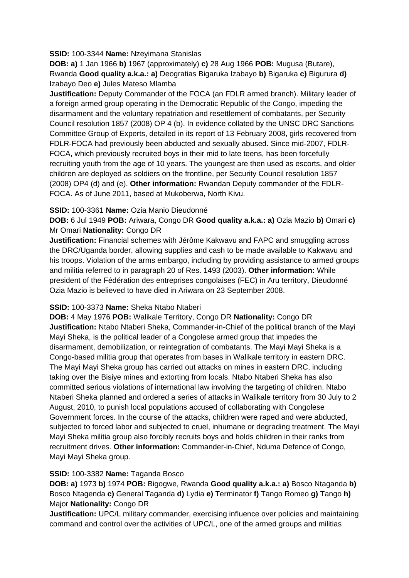## **SSID:** 100-3344 **Name:** Nzeyimana Stanislas

**DOB: a)** 1 Jan 1966 **b)** 1967 (approximately) **c)** 28 Aug 1966 **POB:** Mugusa (Butare), Rwanda **Good quality a.k.a.: a)** Deogratias Bigaruka Izabayo **b)** Bigaruka **c)** Bigurura **d)**  Izabayo Deo **e)** Jules Mateso Mlamba

**Justification:** Deputy Commander of the FOCA (an FDLR armed branch). Military leader of a foreign armed group operating in the Democratic Republic of the Congo, impeding the disarmament and the voluntary repatriation and resettlement of combatants, per Security Council resolution 1857 (2008) OP 4 (b). In evidence collated by the UNSC DRC Sanctions Committee Group of Experts, detailed in its report of 13 February 2008, girls recovered from FDLR-FOCA had previously been abducted and sexually abused. Since mid-2007, FDLR-FOCA, which previously recruited boys in their mid to late teens, has been forcefully recruiting youth from the age of 10 years. The youngest are then used as escorts, and older children are deployed as soldiers on the frontline, per Security Council resolution 1857 (2008) OP4 (d) and (e). **Other information:** Rwandan Deputy commander of the FDLR-FOCA. As of June 2011, based at Mukoberwa, North Kivu.

# **SSID:** 100-3361 **Name:** Ozia Manio Dieudonné

**DOB:** 6 Jul 1949 **POB:** Ariwara, Congo DR **Good quality a.k.a.: a)** Ozia Mazio **b)** Omari **c)**  Mr Omari **Nationality:** Congo DR

**Justification:** Financial schemes with Jérôme Kakwavu and FAPC and smuggling across the DRC/Uganda border, allowing supplies and cash to be made available to Kakwavu and his troops. Violation of the arms embargo, including by providing assistance to armed groups and militia referred to in paragraph 20 of Res. 1493 (2003). **Other information:** While president of the Fédération des entreprises congolaises (FEC) in Aru territory, Dieudonné Ozia Mazio is believed to have died in Ariwara on 23 September 2008.

# **SSID:** 100-3373 **Name:** Sheka Ntabo Ntaberi

**DOB:** 4 May 1976 **POB:** Walikale Territory, Congo DR **Nationality:** Congo DR **Justification:** Ntabo Ntaberi Sheka, Commander-in-Chief of the political branch of the Mayi Mayi Sheka, is the political leader of a Congolese armed group that impedes the disarmament, demobilization, or reintegration of combatants. The Mayi Mayi Sheka is a Congo-based militia group that operates from bases in Walikale territory in eastern DRC. The Mayi Mayi Sheka group has carried out attacks on mines in eastern DRC, including taking over the Bisiye mines and extorting from locals. Ntabo Ntaberi Sheka has also committed serious violations of international law involving the targeting of children. Ntabo Ntaberi Sheka planned and ordered a series of attacks in Walikale territory from 30 July to 2 August, 2010, to punish local populations accused of collaborating with Congolese Government forces. In the course of the attacks, children were raped and were abducted, subjected to forced labor and subjected to cruel, inhumane or degrading treatment. The Mayi Mayi Sheka militia group also forcibly recruits boys and holds children in their ranks from recruitment drives. **Other information:** Commander-in-Chief, Nduma Defence of Congo, Mayi Mayi Sheka group.

# **SSID:** 100-3382 **Name:** Taganda Bosco

**DOB: a)** 1973 **b)** 1974 **POB:** Bigogwe, Rwanda **Good quality a.k.a.: a)** Bosco Ntaganda **b)**  Bosco Ntagenda **c)** General Taganda **d)** Lydia **e)** Terminator **f)** Tango Romeo **g)** Tango **h)**  Major **Nationality:** Congo DR

**Justification:** UPC/L military commander, exercising influence over policies and maintaining command and control over the activities of UPC/L, one of the armed groups and militias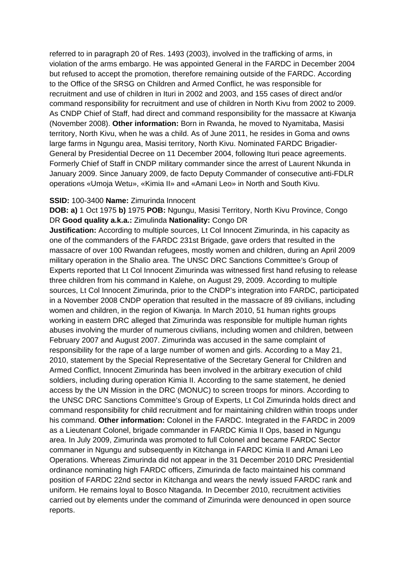referred to in paragraph 20 of Res. 1493 (2003), involved in the trafficking of arms, in violation of the arms embargo. He was appointed General in the FARDC in December 2004 but refused to accept the promotion, therefore remaining outside of the FARDC. According to the Office of the SRSG on Children and Armed Conflict, he was responsible for recruitment and use of children in Ituri in 2002 and 2003, and 155 cases of direct and/or command responsibility for recruitment and use of children in North Kivu from 2002 to 2009. As CNDP Chief of Staff, had direct and command responsibility for the massacre at Kiwanja (November 2008). **Other information:** Born in Rwanda, he moved to Nyamitaba, Masisi territory, North Kivu, when he was a child. As of June 2011, he resides in Goma and owns large farms in Ngungu area, Masisi territory, North Kivu. Nominated FARDC Brigadier-General by Presidential Decree on 11 December 2004, following Ituri peace agreements. Formerly Chief of Staff in CNDP military commander since the arrest of Laurent Nkunda in January 2009. Since January 2009, de facto Deputy Commander of consecutive anti-FDLR operations «Umoja Wetu», «Kimia II» and «Amani Leo» in North and South Kivu.

### **SSID:** 100-3400 **Name:** Zimurinda Innocent

**DOB: a)** 1 Oct 1975 **b)** 1975 **POB:** Ngungu, Masisi Territory, North Kivu Province, Congo DR **Good quality a.k.a.:** Zimulinda **Nationality:** Congo DR

**Justification:** According to multiple sources, Lt Col Innocent Zimurinda, in his capacity as one of the commanders of the FARDC 231st Brigade, gave orders that resulted in the massacre of over 100 Rwandan refugees, mostly women and children, during an April 2009 military operation in the Shalio area. The UNSC DRC Sanctions Committee's Group of Experts reported that Lt Col Innocent Zimurinda was witnessed first hand refusing to release three children from his command in Kalehe, on August 29, 2009. According to multiple sources, Lt Col Innocent Zimurinda, prior to the CNDP's integration into FARDC, participated in a November 2008 CNDP operation that resulted in the massacre of 89 civilians, including women and children, in the region of Kiwanja. In March 2010, 51 human rights groups working in eastern DRC alleged that Zimurinda was responsible for multiple human rights abuses involving the murder of numerous civilians, including women and children, between February 2007 and August 2007. Zimurinda was accused in the same complaint of responsibility for the rape of a large number of women and girls. According to a May 21, 2010, statement by the Special Representative of the Secretary General for Children and Armed Conflict, Innocent Zimurinda has been involved in the arbitrary execution of child soldiers, including during operation Kimia II. According to the same statement, he denied access by the UN Mission in the DRC (MONUC) to screen troops for minors. According to the UNSC DRC Sanctions Committee's Group of Experts, Lt Col Zimurinda holds direct and command responsibility for child recruitment and for maintaining children within troops under his command. **Other information:** Colonel in the FARDC. Integrated in the FARDC in 2009 as a Lieutenant Colonel, brigade commander in FARDC Kimia II Ops, based in Ngungu area. In July 2009, Zimurinda was promoted to full Colonel and became FARDC Sector commaner in Ngungu and subsequently in Kitchanga in FARDC Kimia II and Amani Leo Operations. Whereas Zimurinda did not appear in the 31 December 2010 DRC Presidential ordinance nominating high FARDC officers, Zimurinda de facto maintained his command position of FARDC 22nd sector in Kitchanga and wears the newly issued FARDC rank and uniform. He remains loyal to Bosco Ntaganda. In December 2010, recruitment activities carried out by elements under the command of Zimurinda were denounced in open source reports.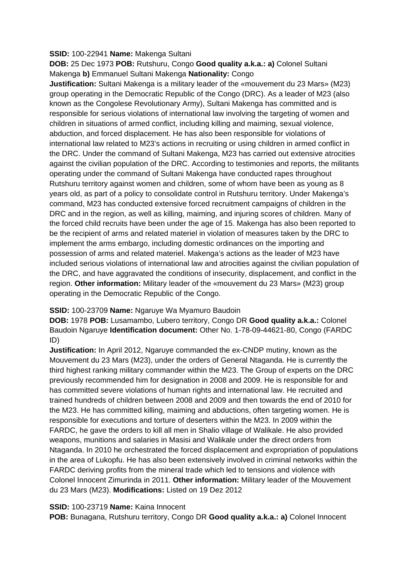## **SSID:** 100-22941 **Name:** Makenga Sultani

**DOB:** 25 Dec 1973 **POB:** Rutshuru, Congo **Good quality a.k.a.: a)** Colonel Sultani Makenga **b)** Emmanuel Sultani Makenga **Nationality:** Congo

**Justification:** Sultani Makenga is a military leader of the «mouvement du 23 Mars» (M23) group operating in the Democratic Republic of the Congo (DRC). As a leader of M23 (also known as the Congolese Revolutionary Army), Sultani Makenga has committed and is responsible for serious violations of international law involving the targeting of women and children in situations of armed conflict, including killing and maiming, sexual violence, abduction, and forced displacement. He has also been responsible for violations of international law related to M23's actions in recruiting or using children in armed conflict in the DRC. Under the command of Sultani Makenga, M23 has carried out extensive atrocities against the civilian population of the DRC. According to testimonies and reports, the militants operating under the command of Sultani Makenga have conducted rapes throughout Rutshuru territory against women and children, some of whom have been as young as 8 years old, as part of a policy to consolidate control in Rutshuru territory. Under Makenga's command, M23 has conducted extensive forced recruitment campaigns of children in the DRC and in the region, as well as killing, maiming, and injuring scores of children. Many of the forced child recruits have been under the age of 15. Makenga has also been reported to be the recipient of arms and related materiel in violation of measures taken by the DRC to implement the arms embargo, including domestic ordinances on the importing and possession of arms and related materiel. Makenga's actions as the leader of M23 have included serious violations of international law and atrocities against the civilian population of the DRC, and have aggravated the conditions of insecurity, displacement, and conflict in the region. **Other information:** Military leader of the «mouvement du 23 Mars» (M23) group operating in the Democratic Republic of the Congo.

# **SSID:** 100-23709 **Name:** Ngaruye Wa Myamuro Baudoin

**DOB:** 1978 **POB:** Lusamambo, Lubero territory, Congo DR **Good quality a.k.a.:** Colonel Baudoin Ngaruye **Identification document:** Other No. 1-78-09-44621-80, Congo (FARDC ID)

**Justification:** In April 2012, Ngaruye commanded the ex-CNDP mutiny, known as the Mouvement du 23 Mars (M23), under the orders of General Ntaganda. He is currently the third highest ranking military commander within the M23. The Group of experts on the DRC previously recommended him for designation in 2008 and 2009. He is responsible for and has committed severe violations of human rights and international law. He recruited and trained hundreds of children between 2008 and 2009 and then towards the end of 2010 for the M23. He has committed killing, maiming and abductions, often targeting women. He is responsible for executions and torture of deserters within the M23. In 2009 within the FARDC, he gave the orders to kill all men in Shalio village of Walikale. He also provided weapons, munitions and salaries in Masisi and Walikale under the direct orders from Ntaganda. In 2010 he orchestrated the forced displacement and expropriation of populations in the area of Lukopfu. He has also been extensively involved in criminal networks within the FARDC deriving profits from the mineral trade which led to tensions and violence with Colonel Innocent Zimurinda in 2011. **Other information:** Military leader of the Mouvement du 23 Mars (M23). **Modifications:** Listed on 19 Dez 2012

## **SSID:** 100-23719 **Name:** Kaina Innocent

**POB:** Bunagana, Rutshuru territory, Congo DR **Good quality a.k.a.: a)** Colonel Innocent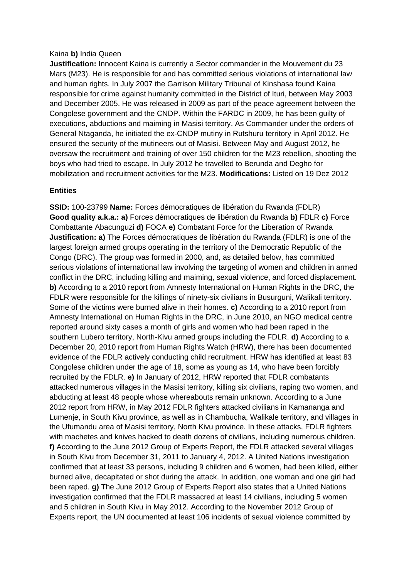### Kaina **b)** India Queen

**Justification:** Innocent Kaina is currently a Sector commander in the Mouvement du 23 Mars (M23). He is responsible for and has committed serious violations of international law and human rights. In July 2007 the Garrison Military Tribunal of Kinshasa found Kaina responsible for crime against humanity committed in the District of Ituri, between May 2003 and December 2005. He was released in 2009 as part of the peace agreement between the Congolese government and the CNDP. Within the FARDC in 2009, he has been guilty of executions, abductions and maiming in Masisi territory. As Commander under the orders of General Ntaganda, he initiated the ex-CNDP mutiny in Rutshuru territory in April 2012. He ensured the security of the mutineers out of Masisi. Between May and August 2012, he oversaw the recruitment and training of over 150 children for the M23 rebellion, shooting the boys who had tried to escape. In July 2012 he travelled to Berunda and Degho for mobilization and recruitment activities for the M23. **Modifications:** Listed on 19 Dez 2012

### **Entities**

**SSID:** 100-23799 **Name:** Forces démocratiques de libération du Rwanda (FDLR) **Good quality a.k.a.: a)** Forces démocratiques de libération du Rwanda **b)** FDLR **c)** Force Combattante Abacunguzi **d)** FOCA **e)** Combatant Force for the Liberation of Rwanda **Justification: a)** The Forces démocratiques de libération du Rwanda (FDLR) is one of the largest foreign armed groups operating in the territory of the Democratic Republic of the Congo (DRC). The group was formed in 2000, and, as detailed below, has committed serious violations of international law involving the targeting of women and children in armed conflict in the DRC, including killing and maiming, sexual violence, and forced displacement. **b)** According to a 2010 report from Amnesty International on Human Rights in the DRC, the FDLR were responsible for the killings of ninety-six civilians in Busurguni, Walikali territory. Some of the victims were burned alive in their homes. **c)** According to a 2010 report from Amnesty International on Human Rights in the DRC, in June 2010, an NGO medical centre reported around sixty cases a month of girls and women who had been raped in the southern Lubero territory, North-Kivu armed groups including the FDLR. **d)** According to a December 20, 2010 report from Human Rights Watch (HRW), there has been documented evidence of the FDLR actively conducting child recruitment. HRW has identified at least 83 Congolese children under the age of 18, some as young as 14, who have been forcibly recruited by the FDLR. **e)** In January of 2012, HRW reported that FDLR combatants attacked numerous villages in the Masisi territory, killing six civilians, raping two women, and abducting at least 48 people whose whereabouts remain unknown. According to a June 2012 report from HRW, in May 2012 FDLR fighters attacked civilians in Kamananga and Lumenje, in South Kivu province, as well as in Chambucha, Walikale territory, and villages in the Ufumandu area of Masisi territory, North Kivu province. In these attacks, FDLR fighters with machetes and knives hacked to death dozens of civilians, including numerous children. **f)** According to the June 2012 Group of Experts Report, the FDLR attacked several villages in South Kivu from December 31, 2011 to January 4, 2012. A United Nations investigation confirmed that at least 33 persons, including 9 children and 6 women, had been killed, either burned alive, decapitated or shot during the attack. In addition, one woman and one girl had been raped. **g)** The June 2012 Group of Experts Report also states that a United Nations investigation confirmed that the FDLR massacred at least 14 civilians, including 5 women and 5 children in South Kivu in May 2012. According to the November 2012 Group of Experts report, the UN documented at least 106 incidents of sexual violence committed by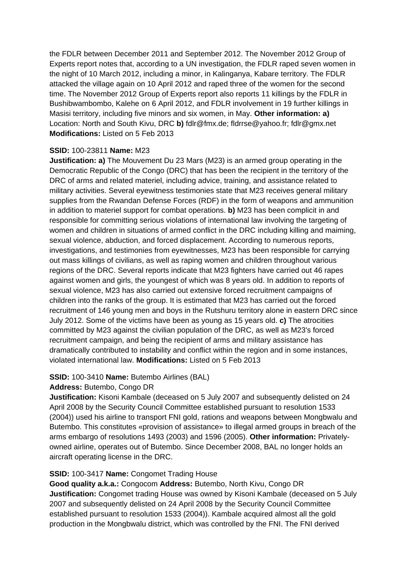the FDLR between December 2011 and September 2012. The November 2012 Group of Experts report notes that, according to a UN investigation, the FDLR raped seven women in the night of 10 March 2012, including a minor, in Kalinganya, Kabare territory. The FDLR attacked the village again on 10 April 2012 and raped three of the women for the second time. The November 2012 Group of Experts report also reports 11 killings by the FDLR in Bushibwambombo, Kalehe on 6 April 2012, and FDLR involvement in 19 further killings in Masisi territory, including five minors and six women, in May. **Other information: a)**  Location: North and South Kivu, DRC **b)** fdlr@fmx.de; fldrrse@yahoo.fr; fdlr@gmx.net **Modifications:** Listed on 5 Feb 2013

## **SSID:** 100-23811 **Name:** M23

**Justification: a)** The Mouvement Du 23 Mars (M23) is an armed group operating in the Democratic Republic of the Congo (DRC) that has been the recipient in the territory of the DRC of arms and related materiel, including advice, training, and assistance related to military activities. Several eyewitness testimonies state that M23 receives general military supplies from the Rwandan Defense Forces (RDF) in the form of weapons and ammunition in addition to materiel support for combat operations. **b)** M23 has been complicit in and responsible for committing serious violations of international law involving the targeting of women and children in situations of armed conflict in the DRC including killing and maiming, sexual violence, abduction, and forced displacement. According to numerous reports, investigations, and testimonies from eyewitnesses, M23 has been responsible for carrying out mass killings of civilians, as well as raping women and children throughout various regions of the DRC. Several reports indicate that M23 fighters have carried out 46 rapes against women and girls, the youngest of which was 8 years old. In addition to reports of sexual violence, M23 has also carried out extensive forced recruitment campaigns of children into the ranks of the group. It is estimated that M23 has carried out the forced recruitment of 146 young men and boys in the Rutshuru territory alone in eastern DRC since July 2012. Some of the victims have been as young as 15 years old. **c)** The atrocities committed by M23 against the civilian population of the DRC, as well as M23's forced recruitment campaign, and being the recipient of arms and military assistance has dramatically contributed to instability and conflict within the region and in some instances, violated international law. **Modifications:** Listed on 5 Feb 2013

# **SSID:** 100-3410 **Name:** Butembo Airlines (BAL)

## **Address:** Butembo, Congo DR

**Justification:** Kisoni Kambale (deceased on 5 July 2007 and subsequently delisted on 24 April 2008 by the Security Council Committee established pursuant to resolution 1533 (2004)) used his airline to transport FNI gold, rations and weapons between Mongbwalu and Butembo. This constitutes «provision of assistance» to illegal armed groups in breach of the arms embargo of resolutions 1493 (2003) and 1596 (2005). **Other information:** Privatelyowned airline, operates out of Butembo. Since December 2008, BAL no longer holds an aircraft operating license in the DRC.

# **SSID:** 100-3417 **Name:** Congomet Trading House

**Good quality a.k.a.:** Congocom **Address:** Butembo, North Kivu, Congo DR **Justification:** Congomet trading House was owned by Kisoni Kambale (deceased on 5 July 2007 and subsequently delisted on 24 April 2008 by the Security Council Committee established pursuant to resolution 1533 (2004)). Kambale acquired almost all the gold production in the Mongbwalu district, which was controlled by the FNI. The FNI derived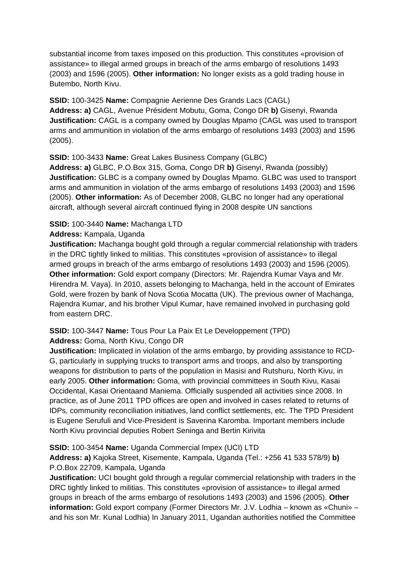substantial income from taxes imposed on this production. This constitutes «provision of assistance» to illegal armed groups in breach of the arms embargo of resolutions 1493 (2003) and 1596 (2005). **Other information:** No longer exists as a gold trading house in Butembo, North Kivu.

**SSID:** 100-3425 **Name:** Compagnie Aerienne Des Grands Lacs (CAGL) **Address: a)** CAGL, Avenue Président Mobutu, Goma, Congo DR **b)** Gisenyi, Rwanda **Justification:** CAGL is a company owned by Douglas Mpamo (CAGL was used to transport arms and ammunition in violation of the arms embargo of resolutions 1493 (2003) and 1596 (2005).

## **SSID:** 100-3433 **Name:** Great Lakes Business Company (GLBC)

**Address: a)** GLBC, P.O.Box 315, Goma, Congo DR **b)** Gisenyi, Rwanda (possibly) **Justification:** GLBC is a company owned by Douglas Mpamo. GLBC was used to transport arms and ammunition in violation of the arms embargo of resolutions 1493 (2003) and 1596 (2005). **Other information:** As of December 2008, GLBC no longer had any operational aircraft, although several aircraft continued flying in 2008 despite UN sanctions

### **SSID:** 100-3440 **Name:** Machanga LTD

### **Address:** Kampala, Uganda

**Justification:** Machanga bought gold through a regular commercial relationship with traders in the DRC tightly linked to militias. This constitutes «provision of assistance» to illegal armed groups in breach of the arms embargo of resolutions 1493 (2003) and 1596 (2005). **Other information:** Gold export company (Directors: Mr. Rajendra Kumar Vaya and Mr. Hirendra M. Vaya). In 2010, assets belonging to Machanga, held in the account of Emirates Gold, were frozen by bank of Nova Scotia Mocatta (UK). The previous owner of Machanga, Rajendra Kumar, and his brother Vipul Kumar, have remained involved in purchasing gold from eastern DRC.

### **SSID:** 100-3447 **Name:** Tous Pour La Paix Et Le Developpement (TPD) **Address:** Goma, North Kivu, Congo DR

**Justification:** Implicated in violation of the arms embargo, by providing assistance to RCD-G, particularly in supplying trucks to transport arms and troops, and also by transporting weapons for distribution to parts of the population in Masisi and Rutshuru, North Kivu, in early 2005. **Other information:** Goma, with provincial committees in South Kivu, Kasai Occidental, Kasai Orientaand Maniema. Officially suspended all activities since 2008. In practice, as of June 2011 TPD offices are open and involved in cases related to returns of IDPs, community reconciliation initiatives, land conflict settlements, etc. The TPD President is Eugene Serufuli and Vice-President is Saverina Karomba. Important members include North Kivu provincial deputies Robert Seninga and Bertin Kirivita

### **SSID:** 100-3454 **Name:** Uganda Commercial Impex (UCI) LTD

**Address: a)** Kajoka Street, Kisemente, Kampala, Uganda (Tel.: +256 41 533 578/9) **b)**  P.O.Box 22709, Kampala, Uganda

**Justification:** UCI bought gold through a regular commercial relationship with traders in the DRC tightly linked to militias. This constitutes «provision of assistance» to illegal armed groups in breach of the arms embargo of resolutions 1493 (2003) and 1596 (2005). **Other information:** Gold export company (Former Directors Mr. J.V. Lodhia – known as «Chuni» – and his son Mr. Kunal Lodhia) In January 2011, Ugandan authorities notified the Committee